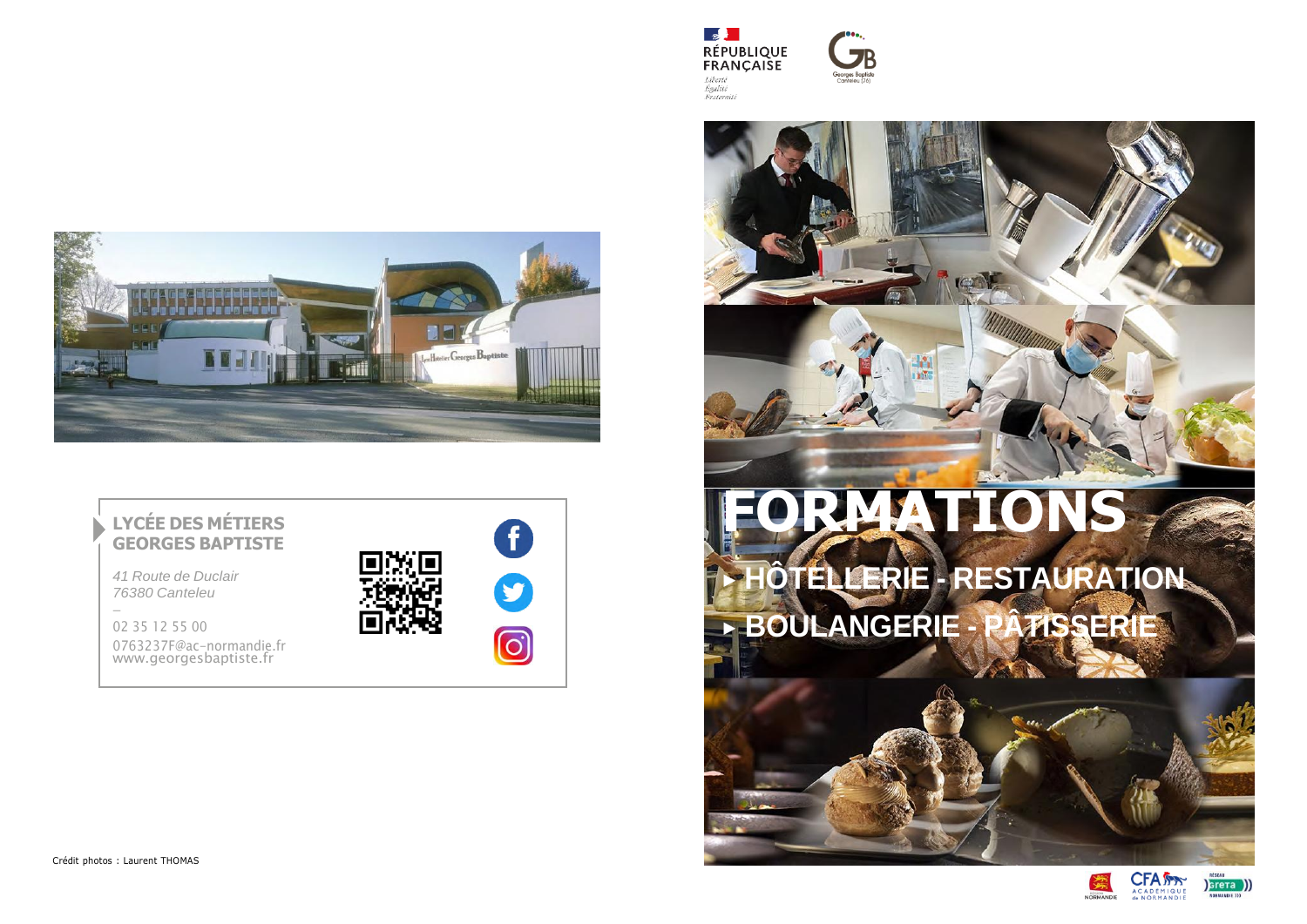







## **FORMATIONS** ▶ **HÔTELLERIE - RESTAURATION**

▶ **BOULANGERIE - PÂTISSERIE**